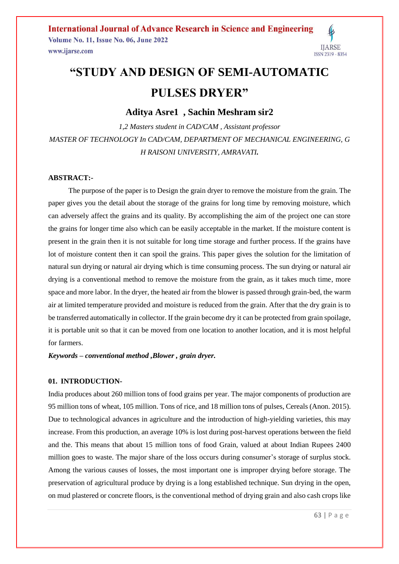**International Journal of Advance Research in Science and Engineering Volume No. 11, Issue No. 06, June 2022** www.ijarse.com



# **"STUDY AND DESIGN OF SEMI-AUTOMATIC PULSES DRYER"**

**Aditya Asre1 , Sachin Meshram sir2**

*1,2 Masters student in CAD/CAM , Assistant professor MASTER OF TECHNOLOGY In CAD/CAM, DEPARTMENT OF MECHANICAL ENGINEERING, G H RAISONI UNIVERSITY, AMRAVATI.*

### **ABSTRACT:-**

 The purpose of the paper is to Design the grain dryer to remove the moisture from the grain. The paper gives you the detail about the storage of the grains for long time by removing moisture, which can adversely affect the grains and its quality. By accomplishing the aim of the project one can store the grains for longer time also which can be easily acceptable in the market. If the moisture content is present in the grain then it is not suitable for long time storage and further process. If the grains have lot of moisture content then it can spoil the grains. This paper gives the solution for the limitation of natural sun drying or natural air drying which is time consuming process. The sun drying or natural air drying is a conventional method to remove the moisture from the grain, as it takes much time, more space and more labor. In the dryer, the heated air from the blower is passed through grain-bed, the warm air at limited temperature provided and moisture is reduced from the grain. After that the dry grain is to be transferred automatically in collector. If the grain become dry it can be protected from grain spoilage, it is portable unit so that it can be moved from one location to another location, and it is most helpful for farmers.

*Keywords – conventional method ,Blower , grain dryer.*

### **01. INTRODUCTION-**

India produces about 260 million tons of food grains per year. The major components of production are 95 million tons of wheat, 105 million. Tons of rice, and 18 million tons of pulses, Cereals (Anon. 2015). Due to technological advances in agriculture and the introduction of high-yielding varieties, this may increase. From this production, an average 10% is lost during post-harvest operations between the field and the. This means that about 15 million tons of food Grain, valued at about Indian Rupees 2400 million goes to waste. The major share of the loss occurs during consumer's storage of surplus stock. Among the various causes of losses, the most important one is improper drying before storage. The preservation of agricultural produce by drying is a long established technique. Sun drying in the open, on mud plastered or concrete floors, is the conventional method of drying grain and also cash crops like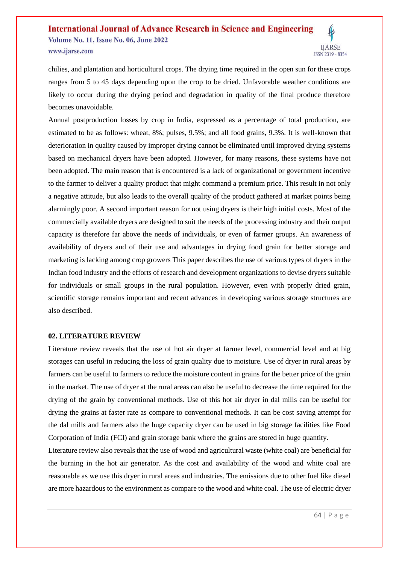### **International Journal of Advance Research in Science and Engineering Volume No. 11, Issue No. 06, June 2022** www.ijarse.com ISSN 2319 - 8354

chilies, and plantation and horticultural crops. The drying time required in the open sun for these crops ranges from 5 to 45 days depending upon the crop to be dried. Unfavorable weather conditions are likely to occur during the drying period and degradation in quality of the final produce therefore becomes unavoidable.

Annual postproduction losses by crop in India, expressed as a percentage of total production, are estimated to be as follows: wheat, 8%; pulses, 9.5%; and all food grains, 9.3%. It is well-known that deterioration in quality caused by improper drying cannot be eliminated until improved drying systems based on mechanical dryers have been adopted. However, for many reasons, these systems have not been adopted. The main reason that is encountered is a lack of organizational or government incentive to the farmer to deliver a quality product that might command a premium price. This result in not only a negative attitude, but also leads to the overall quality of the product gathered at market points being alarmingly poor. A second important reason for not using dryers is their high initial costs. Most of the commercially available dryers are designed to suit the needs of the processing industry and their output capacity is therefore far above the needs of individuals, or even of farmer groups. An awareness of availability of dryers and of their use and advantages in drying food grain for better storage and marketing is lacking among crop growers This paper describes the use of various types of dryers in the Indian food industry and the efforts of research and development organizations to devise dryers suitable for individuals or small groups in the rural population. However, even with properly dried grain, scientific storage remains important and recent advances in developing various storage structures are also described.

#### **02. LITERATURE REVIEW**

Literature review reveals that the use of hot air dryer at farmer level, commercial level and at big storages can useful in reducing the loss of grain quality due to moisture. Use of dryer in rural areas by farmers can be useful to farmers to reduce the moisture content in grains for the better price of the grain in the market. The use of dryer at the rural areas can also be useful to decrease the time required for the drying of the grain by conventional methods. Use of this hot air dryer in dal mills can be useful for drying the grains at faster rate as compare to conventional methods. It can be cost saving attempt for the dal mills and farmers also the huge capacity dryer can be used in big storage facilities like Food Corporation of India (FCI) and grain storage bank where the grains are stored in huge quantity.

Literature review also reveals that the use of wood and agricultural waste (white coal) are beneficial for the burning in the hot air generator. As the cost and availability of the wood and white coal are reasonable as we use this dryer in rural areas and industries. The emissions due to other fuel like diesel are more hazardous to the environment as compare to the wood and white coal. The use of electric dryer

**IJARSE**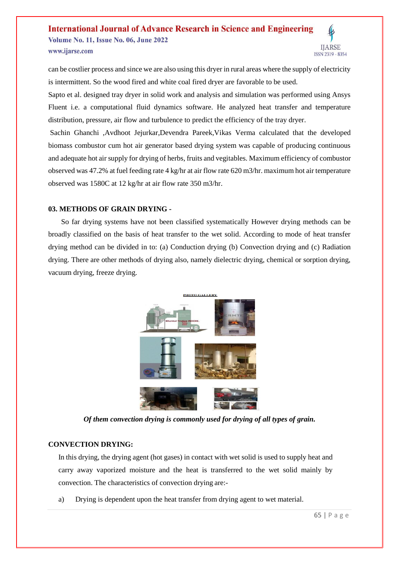#### **International Journal of Advance Research in Science and Engineering Volume No. 11, Issue No. 06, June 2022 IJARSE** www.ijarse.com ISSN 2319 - 8354

can be costlier process and since we are also using this dryer in rural areas where the supply of electricity is intermittent. So the wood fired and white coal fired dryer are favorable to be used.

Sapto et al. designed tray dryer in solid work and analysis and simulation was performed using Ansys Fluent i.e. a computational fluid dynamics software. He analyzed heat transfer and temperature distribution, pressure, air flow and turbulence to predict the efficiency of the tray dryer.

Sachin Ghanchi ,Avdhoot Jejurkar,Devendra Pareek,Vikas Verma calculated that the developed biomass combustor cum hot air generator based drying system was capable of producing continuous and adequate hot air supply for drying of herbs, fruits and vegitables. Maximum efficiency of combustor observed was 47.2% at fuel feeding rate 4 kg/hr at air flow rate 620 m3/hr. maximum hot air temperature observed was 1580C at 12 kg/hr at air flow rate 350 m3/hr.

### **03. METHODS OF GRAIN DRYING -**

 So far drying systems have not been classified systematically However drying methods can be broadly classified on the basis of heat transfer to the wet solid. According to mode of heat transfer drying method can be divided in to: (a) Conduction drying (b) Convection drying and (c) Radiation drying. There are other methods of drying also, namely dielectric drying, chemical or sorption drying, vacuum drying, freeze drying.



*Of them convection drying is commonly used for drying of all types of grain.*

### **CONVECTION DRYING:**

In this drying, the drying agent (hot gases) in contact with wet solid is used to supply heat and carry away vaporized moisture and the heat is transferred to the wet solid mainly by convection. The characteristics of convection drying are:-

a) Drying is dependent upon the heat transfer from drying agent to wet material.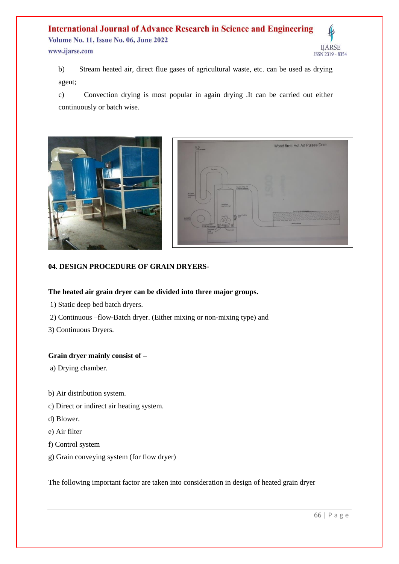#### **International Journal of Advance Research in Science and Engineering** Volume No. 11, Issue No. 06, June 2022 **IJARSE** www.ijarse.com ISSN 2319 - 8354

b) Stream heated air, direct flue gases of agricultural waste, etc. can be used as drying agent;

c) Convection drying is most popular in again drying .It can be carried out either continuously or batch wise.



### **04. DESIGN PROCEDURE OF GRAIN DRYERS-**

### **The heated air grain dryer can be divided into three major groups.**

- 1) Static deep bed batch dryers.
- 2) Continuous –flow-Batch dryer. (Either mixing or non-mixing type) and
- 3) Continuous Dryers.

### **Grain dryer mainly consist of –**

- a) Drying chamber.
- b) Air distribution system.
- c) Direct or indirect air heating system.
- d) Blower.
- e) Air filter
- f) Control system
- g) Grain conveying system (for flow dryer)

The following important factor are taken into consideration in design of heated grain dryer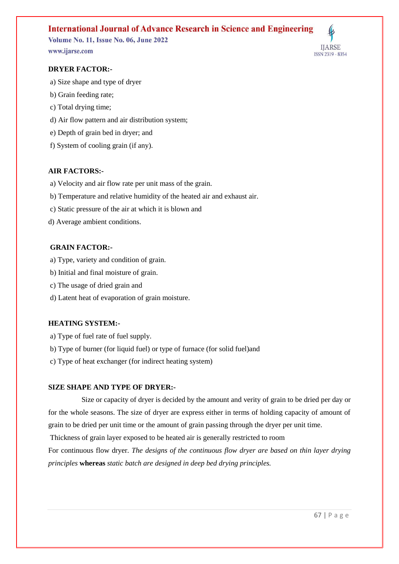## **International Journal of Advance Research in Science and Engineering**

**Volume No. 11, Issue No. 06, June 2022** www.ijarse.com



- a) Size shape and type of dryer
- b) Grain feeding rate;
- c) Total drying time;
- d) Air flow pattern and air distribution system;
- e) Depth of grain bed in dryer; and
- f) System of cooling grain (if any).

### **AIR FACTORS:-**

- a) Velocity and air flow rate per unit mass of the grain.
- b) Temperature and relative humidity of the heated air and exhaust air.
- c) Static pressure of the air at which it is blown and
- d) Average ambient conditions.

### **GRAIN FACTOR:-**

- a) Type, variety and condition of grain.
- b) Initial and final moisture of grain.
- c) The usage of dried grain and
- d) Latent heat of evaporation of grain moisture.

### **HEATING SYSTEM:-**

- a) Type of fuel rate of fuel supply.
- b) Type of burner (for liquid fuel) or type of furnace (for solid fuel)and
- c) Type of heat exchanger (for indirect heating system)

### **SIZE SHAPE AND TYPE OF DRYER:-**

Size or capacity of dryer is decided by the amount and verity of grain to be dried per day or for the whole seasons. The size of dryer are express either in terms of holding capacity of amount of grain to be dried per unit time or the amount of grain passing through the dryer per unit time.

Thickness of grain layer exposed to be heated air is generally restricted to room

For continuous flow dryer*. The designs of the continuous flow dryer are based on thin layer drying principles* **whereas** *static batch are designed in deep bed drying principles.*

**IJARSE** 

ISSN 2319 - 8354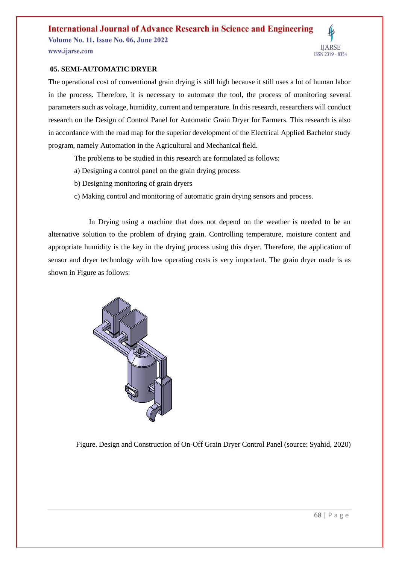### **International Journal of Advance Research in Science and Engineering**

**Volume No. 11, Issue No. 06, June 2022** www.ijarse.com

**IJARSE** ISSN 2319 - 8354

### **05. SEMI-AUTOMATIC DRYER**

The operational cost of conventional grain drying is still high because it still uses a lot of human labor in the process. Therefore, it is necessary to automate the tool, the process of monitoring several parameters such as voltage, humidity, current and temperature. In this research, researchers will conduct research on the Design of Control Panel for Automatic Grain Dryer for Farmers. This research is also in accordance with the road map for the superior development of the Electrical Applied Bachelor study program, namely Automation in the Agricultural and Mechanical field.

The problems to be studied in this research are formulated as follows:

- a) Designing a control panel on the grain drying process
- b) Designing monitoring of grain dryers
- c) Making control and monitoring of automatic grain drying sensors and process.

 In Drying using a machine that does not depend on the weather is needed to be an alternative solution to the problem of drying grain. Controlling temperature, moisture content and appropriate humidity is the key in the drying process using this dryer. Therefore, the application of sensor and dryer technology with low operating costs is very important. The grain dryer made is as shown in Figure as follows:



Figure. Design and Construction of On-Off Grain Dryer Control Panel (source: Syahid, 2020)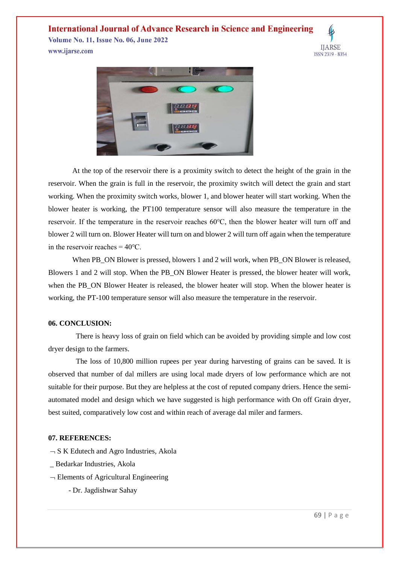### **International Journal of Advance Research in Science and Engineering**

**Volume No. 11, Issue No. 06, June 2022** www.ijarse.com





At the top of the reservoir there is a proximity switch to detect the height of the grain in the reservoir. When the grain is full in the reservoir, the proximity switch will detect the grain and start working. When the proximity switch works, blower 1, and blower heater will start working. When the blower heater is working, the PT100 temperature sensor will also measure the temperature in the reservoir. If the temperature in the reservoir reaches 60℃, then the blower heater will turn off and blower 2 will turn on. Blower Heater will turn on and blower 2 will turn off again when the temperature in the reservoir reaches  $= 40^{\circ}$ C.

When PB\_ON Blower is pressed, blowers 1 and 2 will work, when PB\_ON Blower is released, Blowers 1 and 2 will stop. When the PB\_ON Blower Heater is pressed, the blower heater will work, when the PB\_ON Blower Heater is released, the blower heater will stop. When the blower heater is working, the PT-100 temperature sensor will also measure the temperature in the reservoir.

#### **06. CONCLUSION:**

 There is heavy loss of grain on field which can be avoided by providing simple and low cost dryer design to the farmers.

 The loss of 10,800 million rupees per year during harvesting of grains can be saved. It is observed that number of dal millers are using local made dryers of low performance which are not suitable for their purpose. But they are helpless at the cost of reputed company driers. Hence the semiautomated model and design which we have suggested is high performance with On off Grain dryer, best suited, comparatively low cost and within reach of average dal miler and farmers.

### **07. REFERENCES:**

- $\neg S K$  Edutech and Agro Industries, Akola
- \_ Bedarkar Industries, Akola
- $\neg$  Elements of Agricultural Engineering
	- Dr. Jagdishwar Sahay